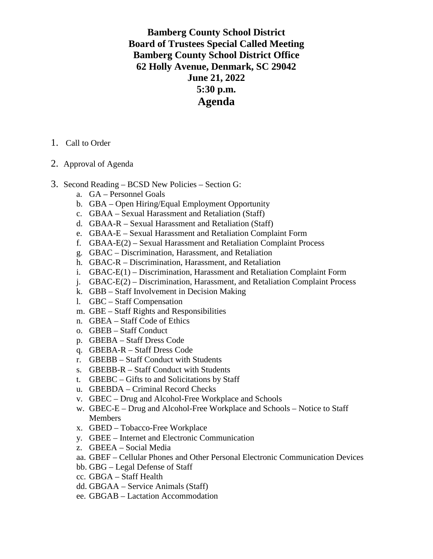**Bamberg County School District Board of Trustees Special Called Meeting Bamberg County School District Office 62 Holly Avenue, Denmark, SC 29042 June 21, 2022 5:30 p.m. Agenda** 

- 1. Call to Order
- 2. Approval of Agenda
- 3. Second Reading BCSD New Policies Section G:
	- a. GA Personnel Goals
	- b. GBA Open Hiring/Equal Employment Opportunity
	- c. GBAA Sexual Harassment and Retaliation (Staff)
	- d. GBAA-R Sexual Harassment and Retaliation (Staff)
	- e. GBAA-E Sexual Harassment and Retaliation Complaint Form
	- f. GBAA-E(2) Sexual Harassment and Retaliation Complaint Process
	- g. GBAC Discrimination, Harassment, and Retaliation
	- h. GBAC-R Discrimination, Harassment, and Retaliation
	- i. GBAC-E(1) Discrimination, Harassment and Retaliation Complaint Form
	- j. GBAC-E(2) Discrimination, Harassment, and Retaliation Complaint Process
	- k. GBB Staff Involvement in Decision Making
	- l. GBC Staff Compensation
	- m. GBE Staff Rights and Responsibilities
	- n. GBEA Staff Code of Ethics
	- o. GBEB Staff Conduct
	- p. GBEBA Staff Dress Code
	- q. GBEBA-R Staff Dress Code
	- r. GBEBB Staff Conduct with Students
	- s. GBEBB-R Staff Conduct with Students
	- t. GBEBC Gifts to and Solicitations by Staff
	- u. GBEBDA Criminal Record Checks
	- v. GBEC Drug and Alcohol-Free Workplace and Schools
	- w. GBEC-E Drug and Alcohol-Free Workplace and Schools Notice to Staff Members
	- x. GBED Tobacco-Free Workplace
	- y. GBEE Internet and Electronic Communication
	- z. GBEEA Social Media
	- aa. GBEF Cellular Phones and Other Personal Electronic Communication Devices
	- bb. GBG Legal Defense of Staff
	- cc. GBGA Staff Health
	- dd. GBGAA Service Animals (Staff)
	- ee. GBGAB Lactation Accommodation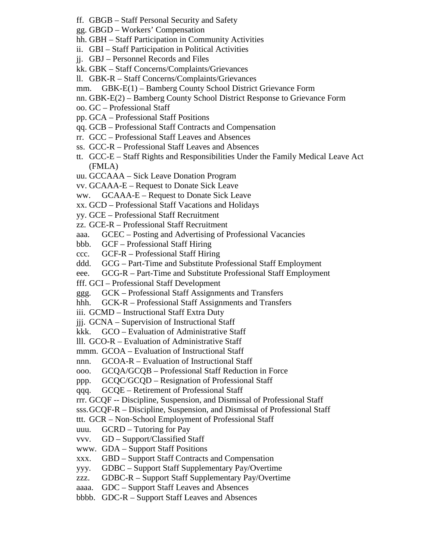- ff. GBGB Staff Personal Security and Safety
- gg. GBGD Workers' Compensation
- hh. GBH Staff Participation in Community Activities
- ii. GBI Staff Participation in Political Activities
- jj. GBJ Personnel Records and Files
- kk. GBK Staff Concerns/Complaints/Grievances
- ll. GBK-R Staff Concerns/Complaints/Grievances
- mm. GBK-E(1) Bamberg County School District Grievance Form
- nn. GBK-E(2) Bamberg County School District Response to Grievance Form
- oo. GC Professional Staff
- pp. GCA Professional Staff Positions
- qq. GCB Professional Staff Contracts and Compensation
- rr. GCC Professional Staff Leaves and Absences
- ss. GCC-R Professional Staff Leaves and Absences
- tt. GCC-E Staff Rights and Responsibilities Under the Family Medical Leave Act (FMLA)
- uu. GCCAAA Sick Leave Donation Program
- vv. GCAAA-E Request to Donate Sick Leave
- ww. GCAAA-E Request to Donate Sick Leave
- xx. GCD Professional Staff Vacations and Holidays
- yy. GCE Professional Staff Recruitment
- zz. GCE-R Professional Staff Recruitment
- aaa. GCEC Posting and Advertising of Professional Vacancies
- bbb. GCF Professional Staff Hiring
- ccc. GCF-R Professional Staff Hiring
- ddd. GCG Part-Time and Substitute Professional Staff Employment
- eee. GCG-R Part-Time and Substitute Professional Staff Employment
- fff. GCI Professional Staff Development
- ggg. GCK Professional Staff Assignments and Transfers
- hhh. GCK-R Professional Staff Assignments and Transfers
- iii. GCMD Instructional Staff Extra Duty
- jjj. GCNA Supervision of Instructional Staff
- kkk. GCO Evaluation of Administrative Staff
- lll. GCO-R Evaluation of Administrative Staff
- mmm. GCOA Evaluation of Instructional Staff
- nnn. GCOA-R Evaluation of Instructional Staff
- ooo. GCQA/GCQB Professional Staff Reduction in Force
- ppp. GCQC/GCQD Resignation of Professional Staff
- qqq. GCQE Retirement of Professional Staff
- rrr. GCQF -- Discipline, Suspension, and Dismissal of Professional Staff
- sss.GCQF-R Discipline, Suspension, and Dismissal of Professional Staff
- ttt. GCR Non-School Employment of Professional Staff
- uuu. GCRD Tutoring for Pay
- vvv. GD Support/Classified Staff
- www. GDA Support Staff Positions
- xxx. GBD Support Staff Contracts and Compensation
- yyy. GDBC Support Staff Supplementary Pay/Overtime
- zzz. GDBC-R Support Staff Supplementary Pay/Overtime
- aaaa. GDC Support Staff Leaves and Absences
- bbbb. GDC-R Support Staff Leaves and Absences